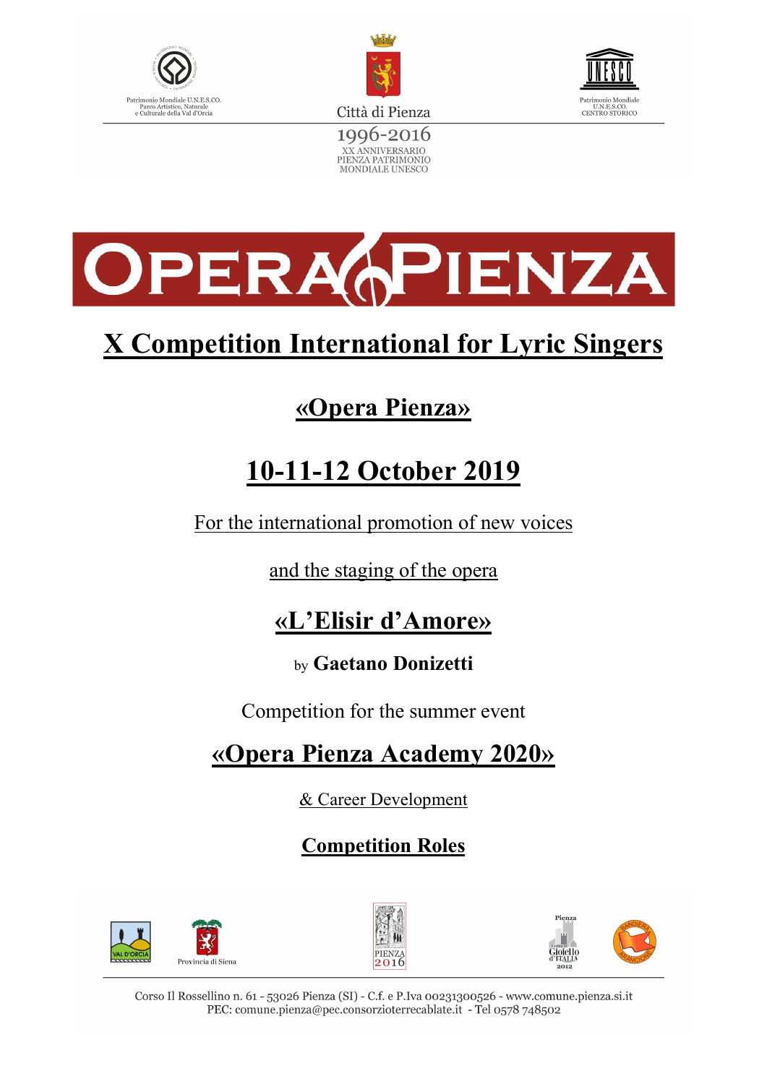



XX ANNIVERSARIO<br>PIENZA PATRIMONIO<br>MONDIALE UNESCO





# **X Competition International for Lyric Singers**

# **«Opera Pienza»**

# **10-11-12 October 2019**

For the international promotion of new voices

and the staging of the opera

## **«L'Elisir d'Amore»**

### by **Gaetano Donizetti**

Competition for the summer event

## **«Opera Pienza Academy 2020»**

& Career Development

## **Competition Roles**





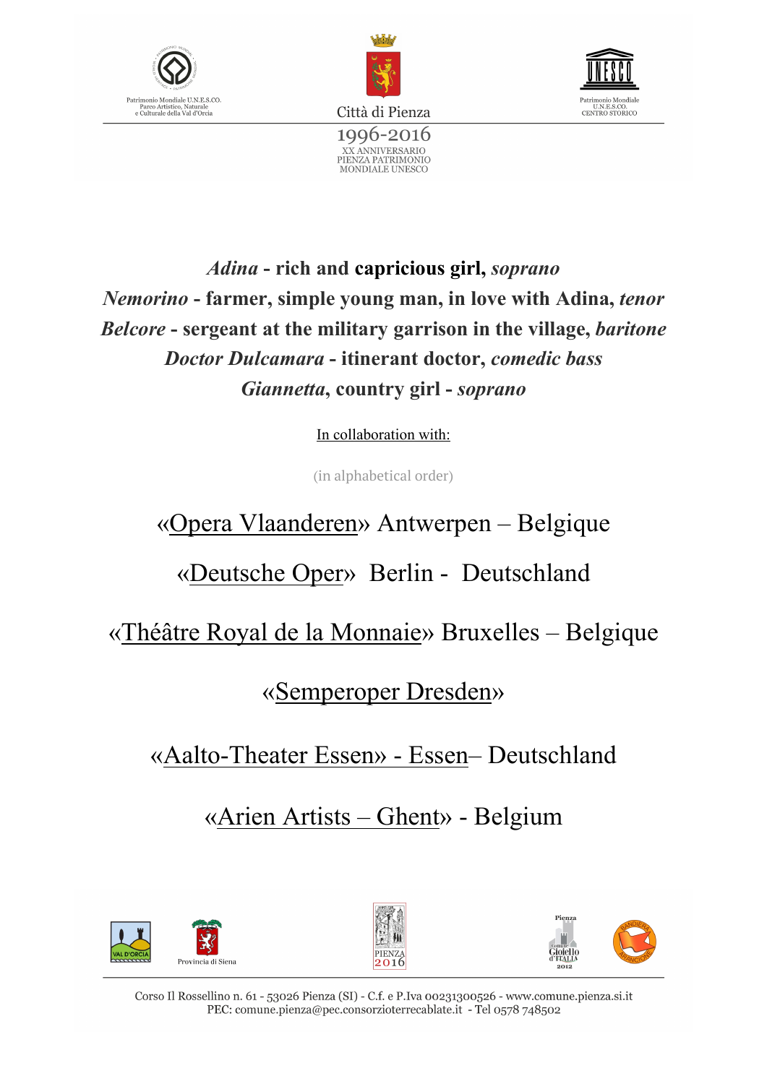





*Adina* **- rich and capricious girl,** *soprano Nemorino* **- farmer, simple young man, in love with Adina,** *tenor Belcore* **- sergeant at the military garrison in the village,** *baritone Doctor Dulcamara* **- itinerant doctor,** *comedic bass Giannetta***, country girl -** *soprano*

In collaboration with:

(in alphabetical order)

## «Opera Vlaanderen» Antwerpen – Belgique

## «Deutsche Oper» Berlin - Deutschland

«Théâtre Royal de la Monnaie» Bruxelles – Belgique

### «Semperoper Dresden»

«Aalto-Theater Essen» - Essen– Deutschland

«Arien Artists – Ghent» - Belgium





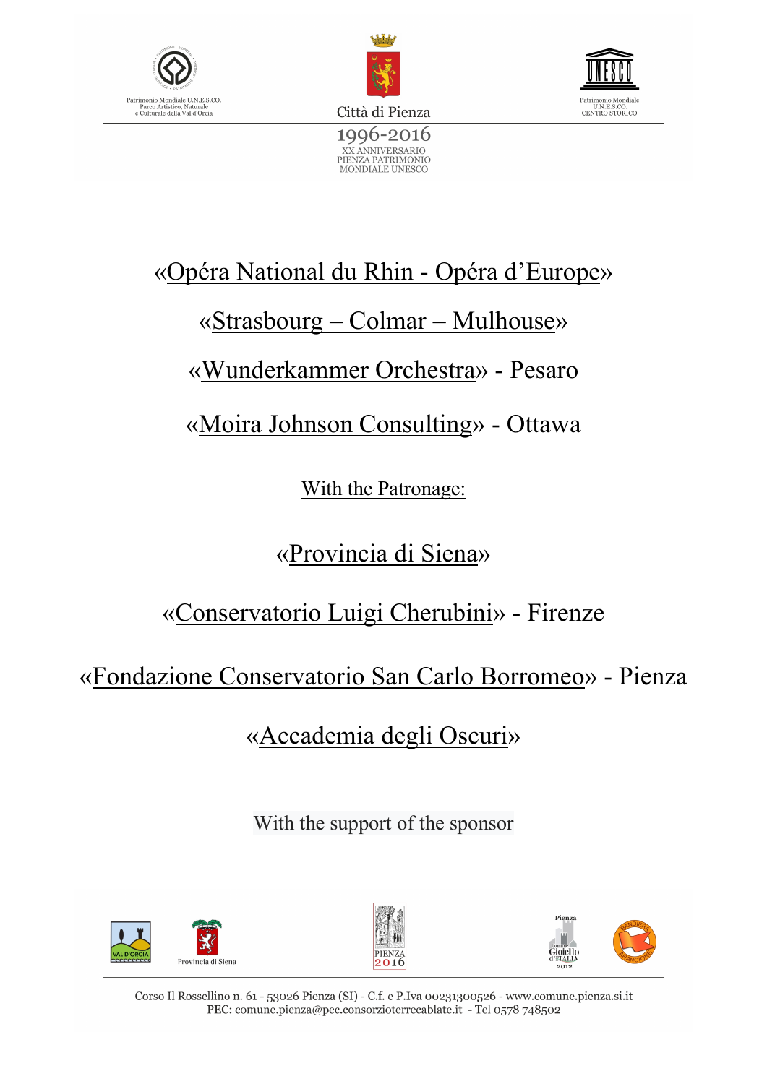





## «Opéra National du Rhin - Opéra d'Europe»

## «Strasbourg – Colmar – Mulhouse»

## «Wunderkammer Orchestra» - Pesaro

«Moira Johnson Consulting» - Ottawa

With the Patronage:

«Provincia di Siena»

«Conservatorio Luigi Cherubini» - Firenze

«Fondazione Conservatorio San Carlo Borromeo» - Pienza

«Accademia degli Oscuri»

With the support of the sponsor





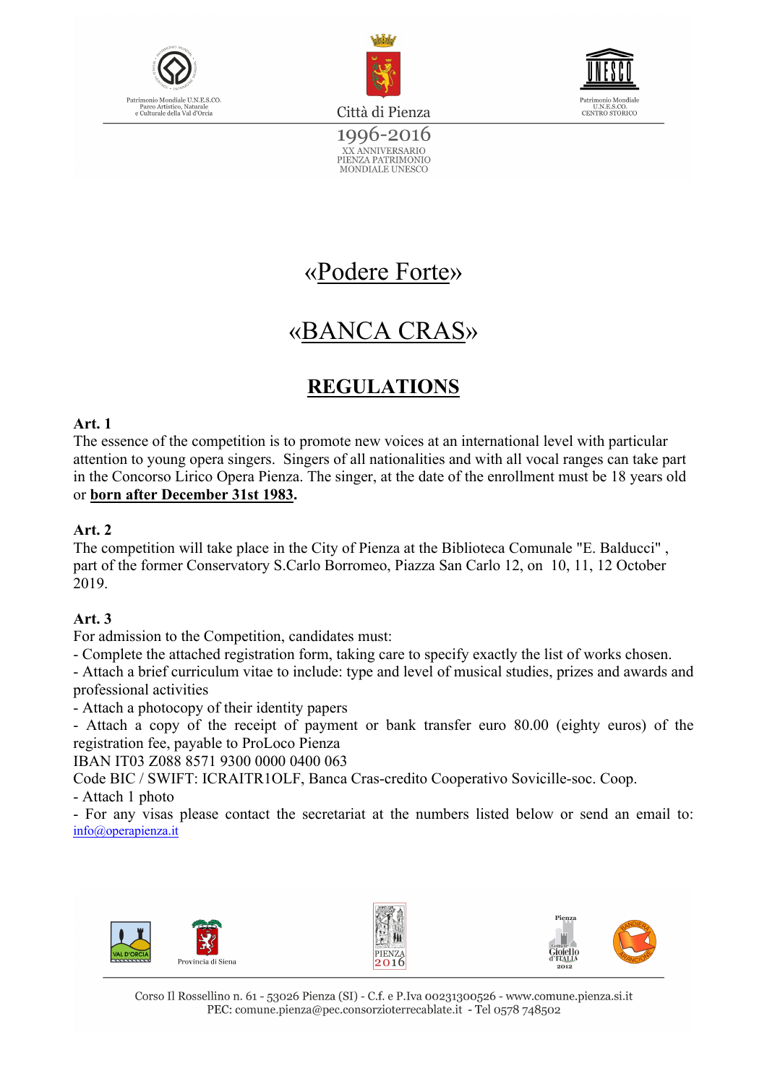





1996-2016 XX ANNIVERSARIO<br>PIENZA PATRIMONIO<br>MONDIALE UNESCO

## «Podere Forte»

## «BANCA CRAS»

### **REGULATIONS**

#### **Art. 1**

The essence of the competition is to promote new voices at an international level with particular attention to young opera singers. Singers of all nationalities and with all vocal ranges can take part in the Concorso Lirico Opera Pienza. The singer, at the date of the enrollment must be 18 years old or **born after December 31st 1983.**

#### **Art. 2**

The competition will take place in the City of Pienza at the Biblioteca Comunale "E. Balducci" , part of the former Conservatory S.Carlo Borromeo, Piazza San Carlo 12, on 10, 11, 12 October 2019.

#### **Art. 3**

For admission to the Competition, candidates must:

- Complete the attached registration form, taking care to specify exactly the list of works chosen.

- Attach a brief curriculum vitae to include: type and level of musical studies, prizes and awards and professional activities

- Attach a photocopy of their identity papers

- Attach a copy of the receipt of payment or bank transfer euro 80.00 (eighty euros) of the registration fee, payable to ProLoco Pienza

IBAN IT03 Z088 8571 9300 0000 0400 063

Code BIC / SWIFT: ICRAITR1OLF, Banca Cras-credito Cooperativo Sovicille-soc. Coop.

- Attach 1 photo

- For any visas please contact the secretariat at the numbers listed below or send an email to: info@operapienza.it

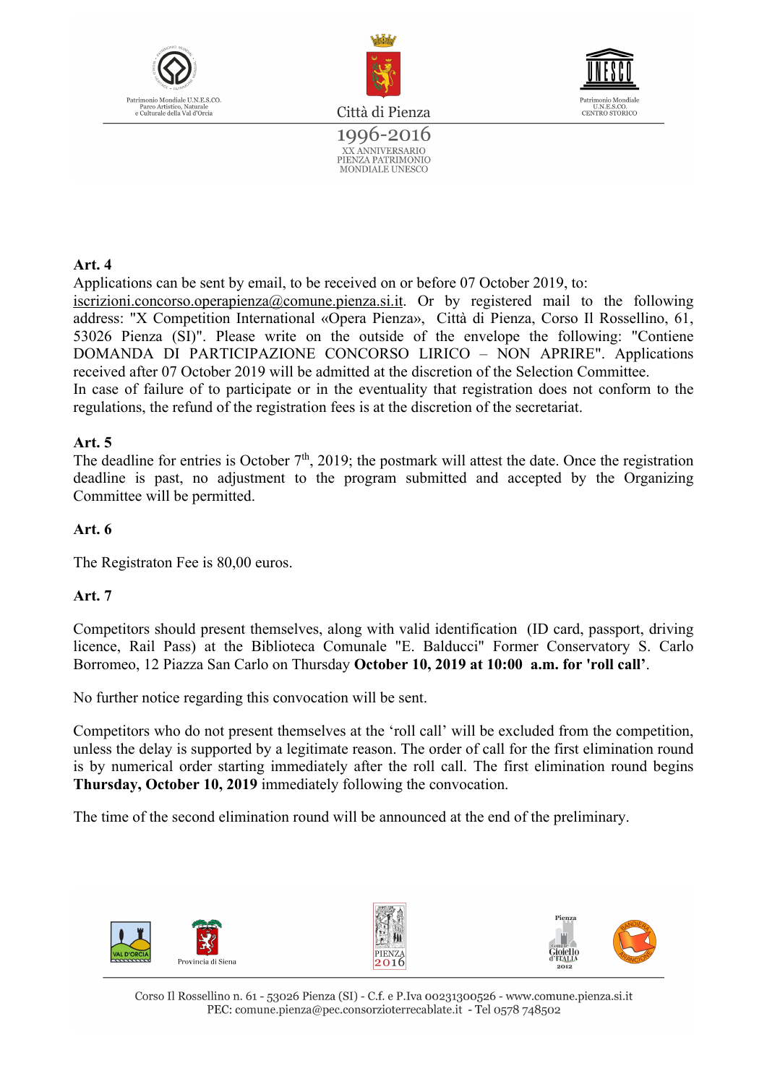



1996-2016 XX ANNIVERSARIO<br>PIENZA PATRIMONIO<br>MONDIALE UNESCO



**Art. 4** 

Applications can be sent by email, to be received on or before 07 October 2019, to:

iscrizioni.concorso.operapienza@comune.pienza.si.it. Or by registered mail to the following address: "X Competition International «Opera Pienza», Città di Pienza, Corso Il Rossellino, 61, 53026 Pienza (SI)". Please write on the outside of the envelope the following: "Contiene DOMANDA DI PARTICIPAZIONE CONCORSO LIRICO – NON APRIRE". Applications received after 07 October 2019 will be admitted at the discretion of the Selection Committee.

In case of failure of to participate or in the eventuality that registration does not conform to the regulations, the refund of the registration fees is at the discretion of the secretariat.

#### **Art. 5**

The deadline for entries is October  $7<sup>th</sup>$ , 2019; the postmark will attest the date. Once the registration deadline is past, no adjustment to the program submitted and accepted by the Organizing Committee will be permitted.

#### **Art. 6**

The Registraton Fee is 80,00 euros.

#### **Art. 7**

Competitors should present themselves, along with valid identification (ID card, passport, driving licence, Rail Pass) at the Biblioteca Comunale "E. Balducci" Former Conservatory S. Carlo Borromeo, 12 Piazza San Carlo on Thursday **October 10, 2019 at 10:00 a.m. for 'roll call'**.

No further notice regarding this convocation will be sent.

Competitors who do not present themselves at the 'roll call' will be excluded from the competition, unless the delay is supported by a legitimate reason. The order of call for the first elimination round is by numerical order starting immediately after the roll call. The first elimination round begins **Thursday, October 10, 2019** immediately following the convocation.

The time of the second elimination round will be announced at the end of the preliminary.

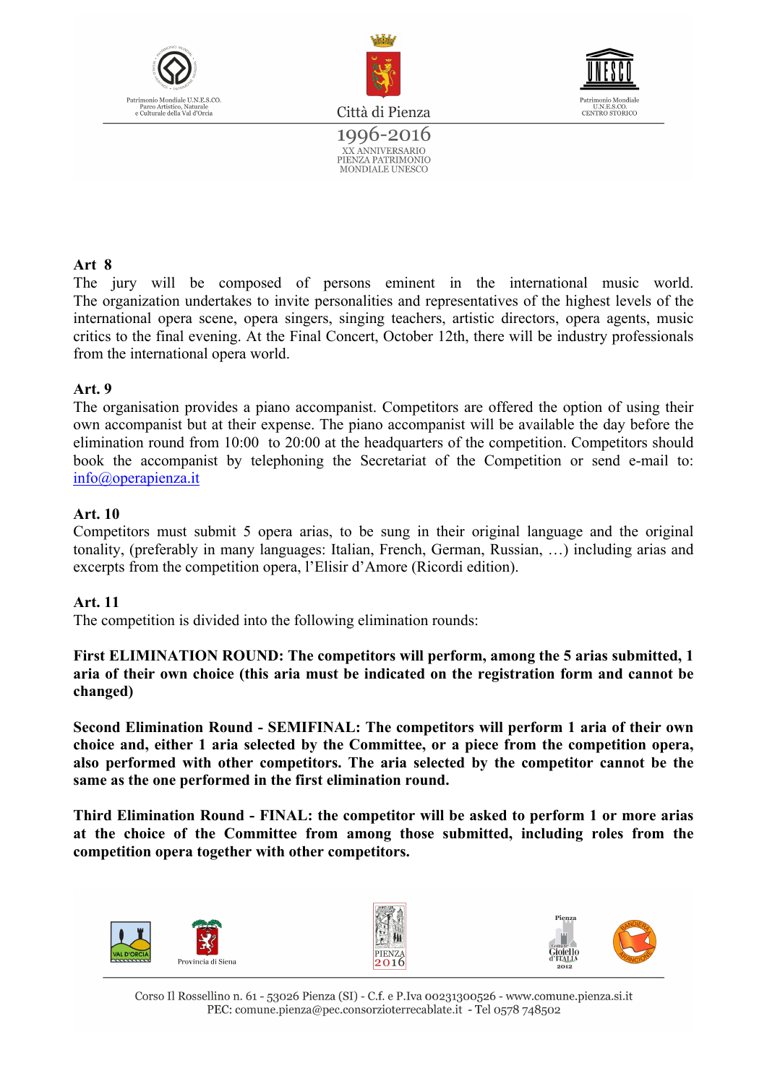





1996-2016 XX ANNIVERSARIO<br>PIENZA PATRIMONIO MONDIALE UNESCO

#### **Art 8**

The jury will be composed of persons eminent in the international music world. The organization undertakes to invite personalities and representatives of the highest levels of the international opera scene, opera singers, singing teachers, artistic directors, opera agents, music critics to the final evening. At the Final Concert, October 12th, there will be industry professionals from the international opera world.

#### **Art. 9**

The organisation provides a piano accompanist. Competitors are offered the option of using their own accompanist but at their expense. The piano accompanist will be available the day before the elimination round from 10:00 to 20:00 at the headquarters of the competition. Competitors should book the accompanist by telephoning the Secretariat of the Competition or send e-mail to: info@operapienza.it

#### **Art. 10**

Competitors must submit 5 opera arias, to be sung in their original language and the original tonality, (preferably in many languages: Italian, French, German, Russian, …) including arias and excerpts from the competition opera, l'Elisir d'Amore (Ricordi edition).

#### **Art. 11**

The competition is divided into the following elimination rounds:

**First ELIMINATION ROUND: The competitors will perform, among the 5 arias submitted, 1 aria of their own choice (this aria must be indicated on the registration form and cannot be changed)**

**Second Elimination Round - SEMIFINAL: The competitors will perform 1 aria of their own choice and, either 1 aria selected by the Committee, or a piece from the competition opera, also performed with other competitors. The aria selected by the competitor cannot be the same as the one performed in the first elimination round.**

**Third Elimination Round - FINAL: the competitor will be asked to perform 1 or more arias at the choice of the Committee from among those submitted, including roles from the competition opera together with other competitors.**





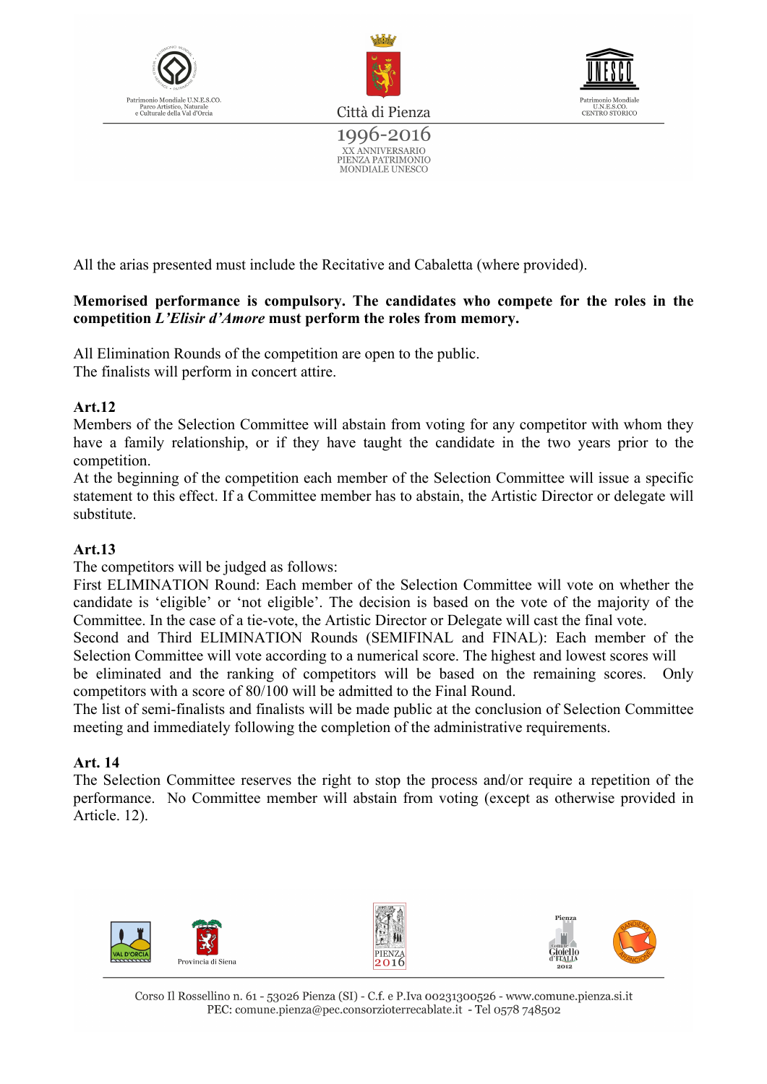





1996-2016 XX ANNIVERSARIO<br>PIENZA PATRIMONIO MONDIALE UNESCO

All the arias presented must include the Recitative and Cabaletta (where provided).

#### **Memorised performance is compulsory. The candidates who compete for the roles in the competition** *L'Elisir d'Amore* **must perform the roles from memory.**

All Elimination Rounds of the competition are open to the public. The finalists will perform in concert attire.

#### **Art.12**

Members of the Selection Committee will abstain from voting for any competitor with whom they have a family relationship, or if they have taught the candidate in the two years prior to the competition.

At the beginning of the competition each member of the Selection Committee will issue a specific statement to this effect. If a Committee member has to abstain, the Artistic Director or delegate will substitute.

#### **Art.13**

The competitors will be judged as follows:

First ELIMINATION Round: Each member of the Selection Committee will vote on whether the candidate is 'eligible' or 'not eligible'. The decision is based on the vote of the majority of the Committee. In the case of a tie-vote, the Artistic Director or Delegate will cast the final vote.

Second and Third ELIMINATION Rounds (SEMIFINAL and FINAL): Each member of the Selection Committee will vote according to a numerical score. The highest and lowest scores will

be eliminated and the ranking of competitors will be based on the remaining scores. Only competitors with a score of 80/100 will be admitted to the Final Round.

The list of semi-finalists and finalists will be made public at the conclusion of Selection Committee meeting and immediately following the completion of the administrative requirements.

#### **Art. 14**

The Selection Committee reserves the right to stop the process and/or require a repetition of the performance. No Committee member will abstain from voting (except as otherwise provided in Article. 12).

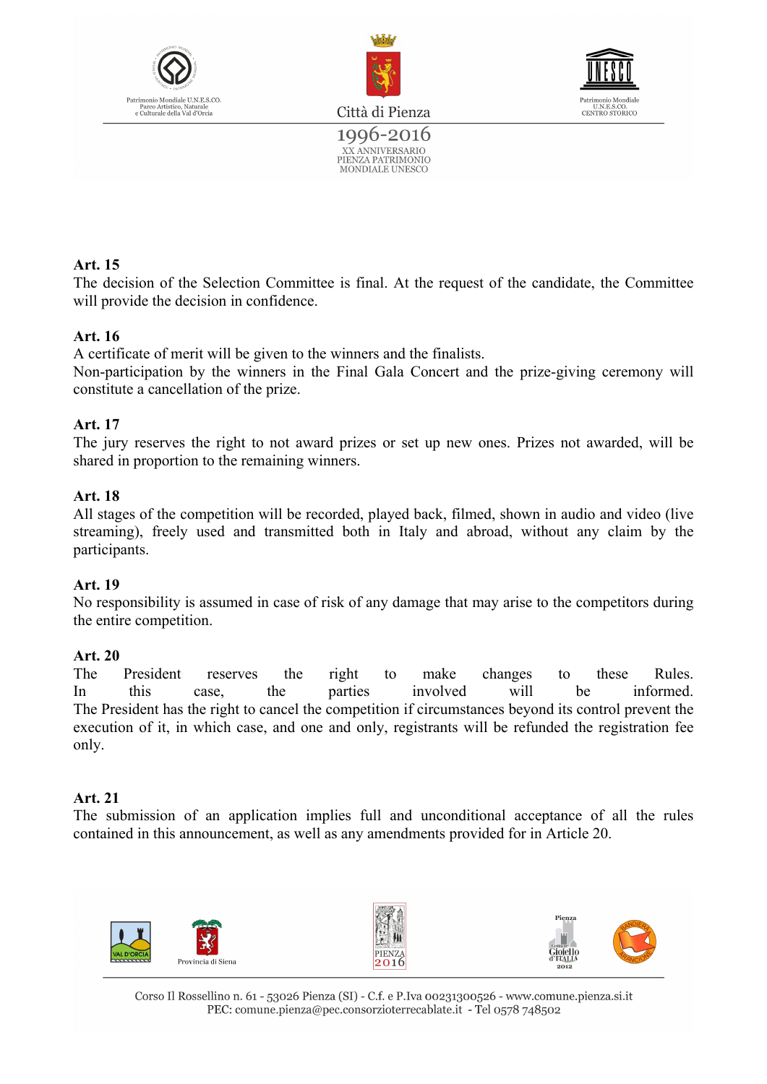



1996-2016 XX ANNIVERSARIO<br>PIENZA PATRIMONIO MONDIALE UNESCO



#### **Art. 15**

The decision of the Selection Committee is final. At the request of the candidate, the Committee will provide the decision in confidence.

#### **Art. 16**

A certificate of merit will be given to the winners and the finalists.

Non-participation by the winners in the Final Gala Concert and the prize-giving ceremony will constitute a cancellation of the prize.

#### **Art. 17**

The jury reserves the right to not award prizes or set up new ones. Prizes not awarded, will be shared in proportion to the remaining winners.

#### **Art. 18**

All stages of the competition will be recorded, played back, filmed, shown in audio and video (live streaming), freely used and transmitted both in Italy and abroad, without any claim by the participants.

#### **Art. 19**

No responsibility is assumed in case of risk of any damage that may arise to the competitors during the entire competition.

#### **Art. 20**

The President reserves the right to make changes to these Rules. In this case, the parties involved will be informed. The President has the right to cancel the competition if circumstances beyond its control prevent the execution of it, in which case, and one and only, registrants will be refunded the registration fee only.

#### **Art. 21**

The submission of an application implies full and unconditional acceptance of all the rules contained in this announcement, as well as any amendments provided for in Article 20.

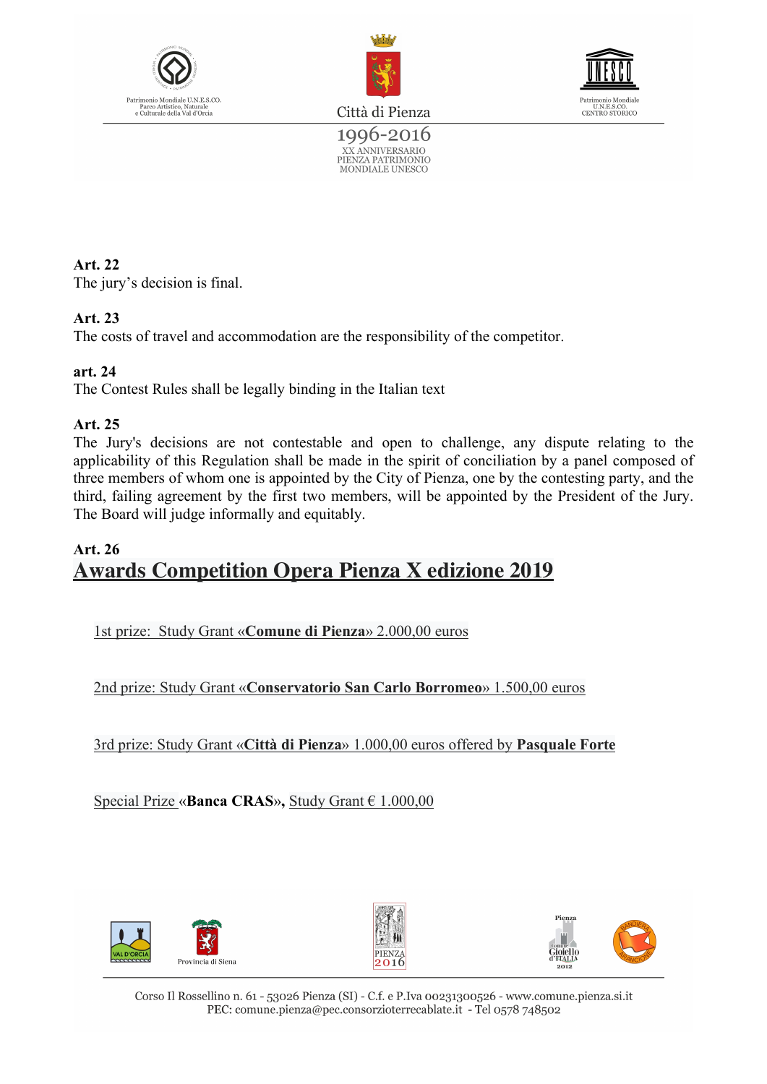



U.N.E.S.CO.<br>CENTRO STORICO

Città di Pienza

1996-2016 XX ANNIVERSARIO<br>PIENZA PATRIMONIO<br>MONDIALE UNESCO

#### **Art. 22** The jury's decision is final.

#### **Art. 23**

The costs of travel and accommodation are the responsibility of the competitor.

#### **art. 24**

The Contest Rules shall be legally binding in the Italian text

#### **Art. 25**

The Jury's decisions are not contestable and open to challenge, any dispute relating to the applicability of this Regulation shall be made in the spirit of conciliation by a panel composed of three members of whom one is appointed by the City of Pienza, one by the contesting party, and the third, failing agreement by the first two members, will be appointed by the President of the Jury. The Board will judge informally and equitably.

#### **Art. 26 Awards Competition Opera Pienza X edizione 2019**

1st prize: Study Grant «**Comune di Pienza**» 2.000,00 euros

2nd prize: Study Grant «**Conservatorio San Carlo Borromeo**» 1.500,00 euros

3rd prize: Study Grant «**Città di Pienza**» 1.000,00 euros offered by **Pasquale Forte**

Special Prize «**Banca CRAS**»**,** Study Grant € 1.000,00





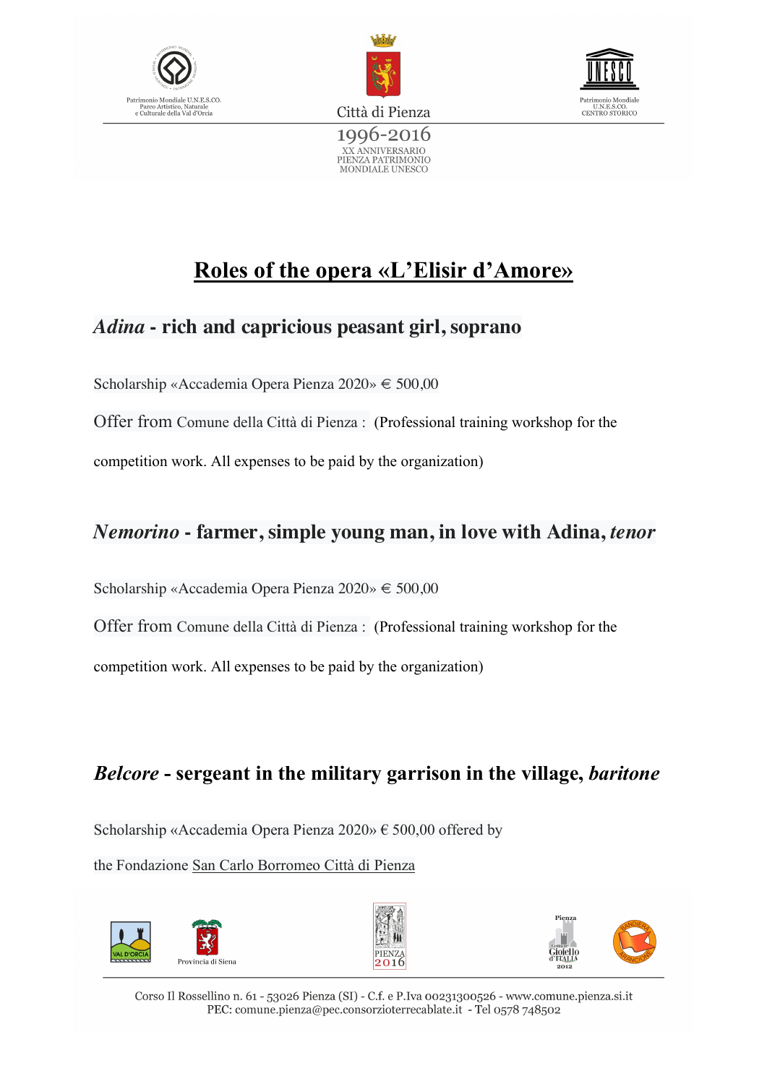





## **Roles of the opera «L'Elisir d'Amore»**

### *Adina* **- rich and capricious peasant girl, soprano**

Scholarship «Accademia Opera Pienza 2020» € 500,00

Offer from Comune della Città di Pienza : (Professional training workshop for the competition work. All expenses to be paid by the organization)

### *Nemorino* **- farmer, simple young man, in love with Adina,** *tenor*

Scholarship «Accademia Opera Pienza 2020» € 500,00

Offer from Comune della Città di Pienza : (Professional training workshop for the

competition work. All expenses to be paid by the organization)

### *Belcore* **- sergeant in the military garrison in the village,** *baritone*

Scholarship «Accademia Opera Pienza 2020» € 500,00 offered by

the Fondazione San Carlo Borromeo Città di Pienza





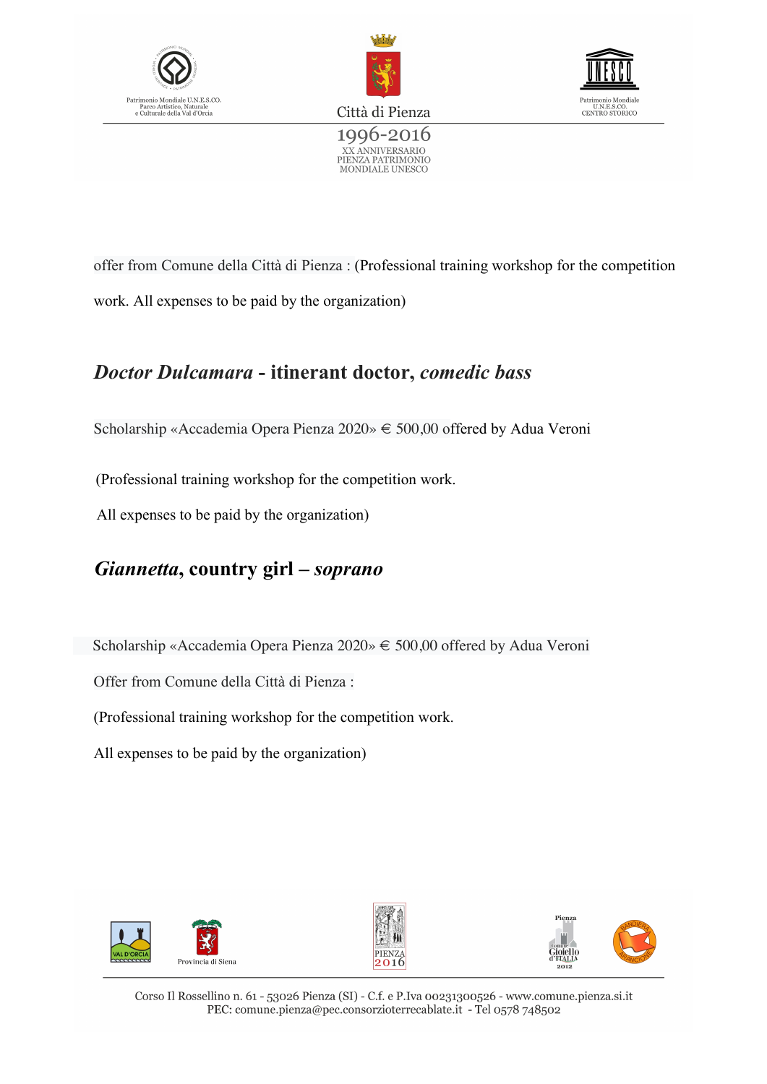





offer from Comune della Città di Pienza : (Professional training workshop for the competition work. All expenses to be paid by the organization)

### *Doctor Dulcamara* **- itinerant doctor,** *comedic bass*

Scholarship «Accademia Opera Pienza 2020» € 500,00 offered by Adua Veroni

(Professional training workshop for the competition work.

All expenses to be paid by the organization)

### *Giannetta***, country girl –** *soprano*

Scholarship «Accademia Opera Pienza 2020» € 500,00 offered by Adua Veroni

Offer from Comune della Città di Pienza :

(Professional training workshop for the competition work.

All expenses to be paid by the organization)





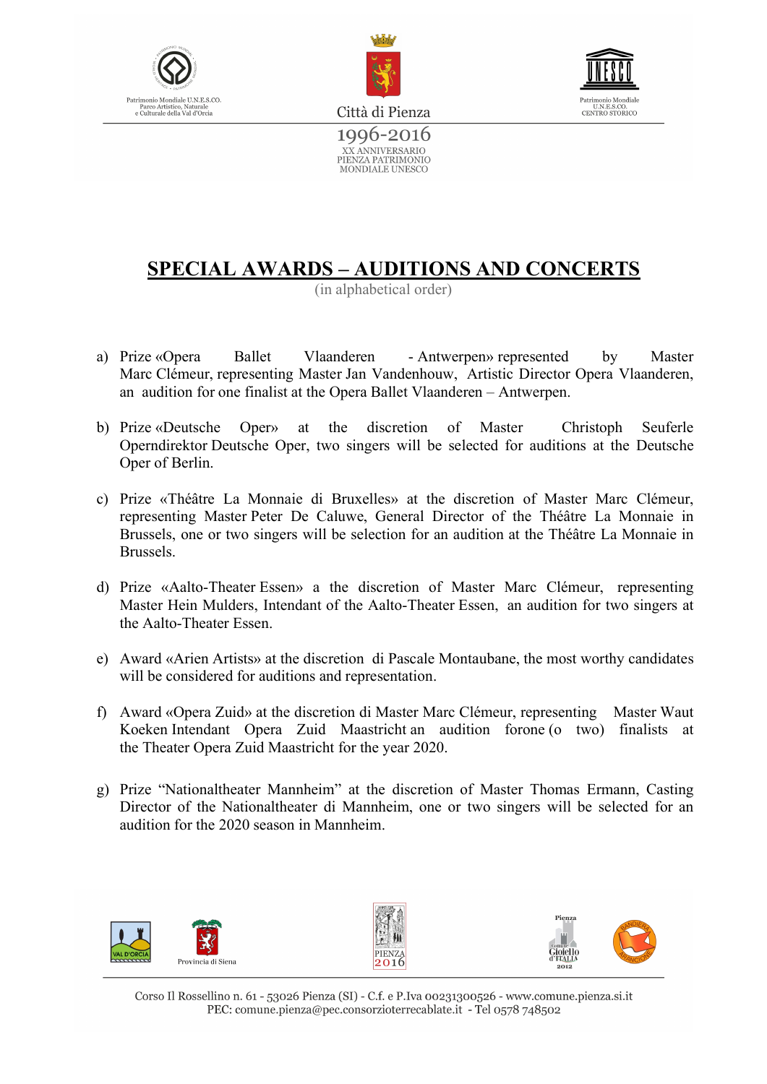





1996-2016 XX ANNIVERSARIO<br>PIENZA PATRIMONIO MONDIALE UNESCO

### **SPECIAL AWARDS – AUDITIONS AND CONCERTS**

(in alphabetical order)

- a) Prize «Opera Ballet Vlaanderen Antwerpen» represented by Master Marc Clémeur, representing Master Jan Vandenhouw, Artistic Director Opera Vlaanderen, an audition for one finalist at the Opera Ballet Vlaanderen – Antwerpen.
- b) Prize «Deutsche Oper» at the discretion of Master Christoph Seuferle Operndirektor Deutsche Oper, two singers will be selected for auditions at the Deutsche Oper of Berlin.
- c) Prize «Théâtre La Monnaie di Bruxelles» at the discretion of Master Marc Clémeur, representing Master Peter De Caluwe, General Director of the Théâtre La Monnaie in Brussels, one or two singers will be selection for an audition at the Théâtre La Monnaie in Brussels.
- d) Prize «Aalto-Theater Essen» a the discretion of Master Marc Clémeur, representing Master Hein Mulders, Intendant of the Aalto-Theater Essen, an audition for two singers at the Aalto-Theater Essen.
- e) Award «Arien Artists» at the discretion di Pascale Montaubane, the most worthy candidates will be considered for auditions and representation.
- f) Award «Opera Zuid» at the discretion di Master Marc Clémeur, representing Master Waut Koeken Intendant Opera Zuid Maastricht an audition forone (o two) finalists at the Theater Opera Zuid Maastricht for the year 2020.
- g) Prize "Nationaltheater Mannheim" at the discretion of Master Thomas Ermann, Casting Director of the Nationaltheater di Mannheim, one or two singers will be selected for an audition for the 2020 season in Mannheim.





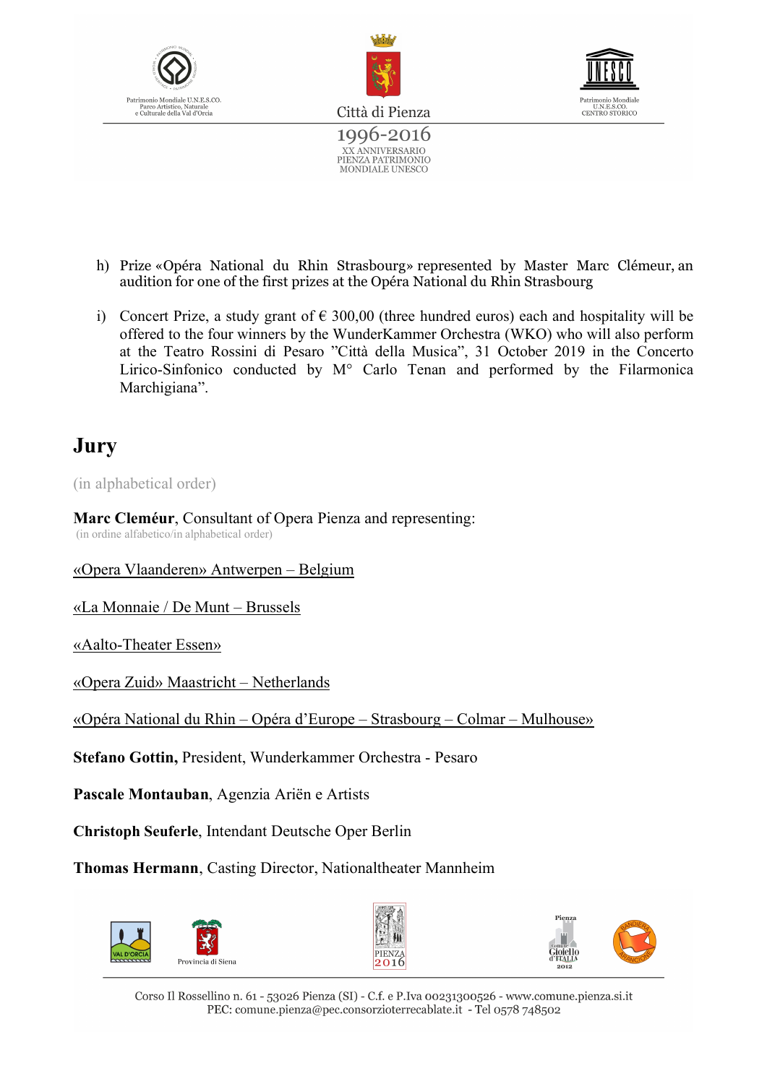





- h) Prize «Opéra National du Rhin Strasbourg» represented by Master Marc Clémeur, an audition for one of the first prizes at the Opéra National du Rhin Strasbourg
- i) Concert Prize, a study grant of  $\epsilon$  300,00 (three hundred euros) each and hospitality will be offered to the four winners by the WunderKammer Orchestra (WKO) who will also perform at the Teatro Rossini di Pesaro "Città della Musica", 31 October 2019 in the Concerto Lirico-Sinfonico conducted by M° Carlo Tenan and performed by the Filarmonica Marchigiana".

### **Jury**

(in alphabetical order)

**Marc Cleméur**, Consultant of Opera Pienza and representing: (in ordine alfabetico/in alphabetical order)

#### «Opera Vlaanderen» Antwerpen – Belgium

«La Monnaie / De Munt – Brussels

«Aalto-Theater Essen»

«Opera Zuid» Maastricht – Netherlands

«Opéra National du Rhin – Opéra d'Europe – Strasbourg – Colmar – Mulhouse»

**Stefano Gottin,** President, Wunderkammer Orchestra - Pesaro

**Pascale Montauban**, Agenzia Ariën e Artists

**Christoph Seuferle**, Intendant Deutsche Oper Berlin

**Thomas Hermann**, Casting Director, Nationaltheater Mannheim





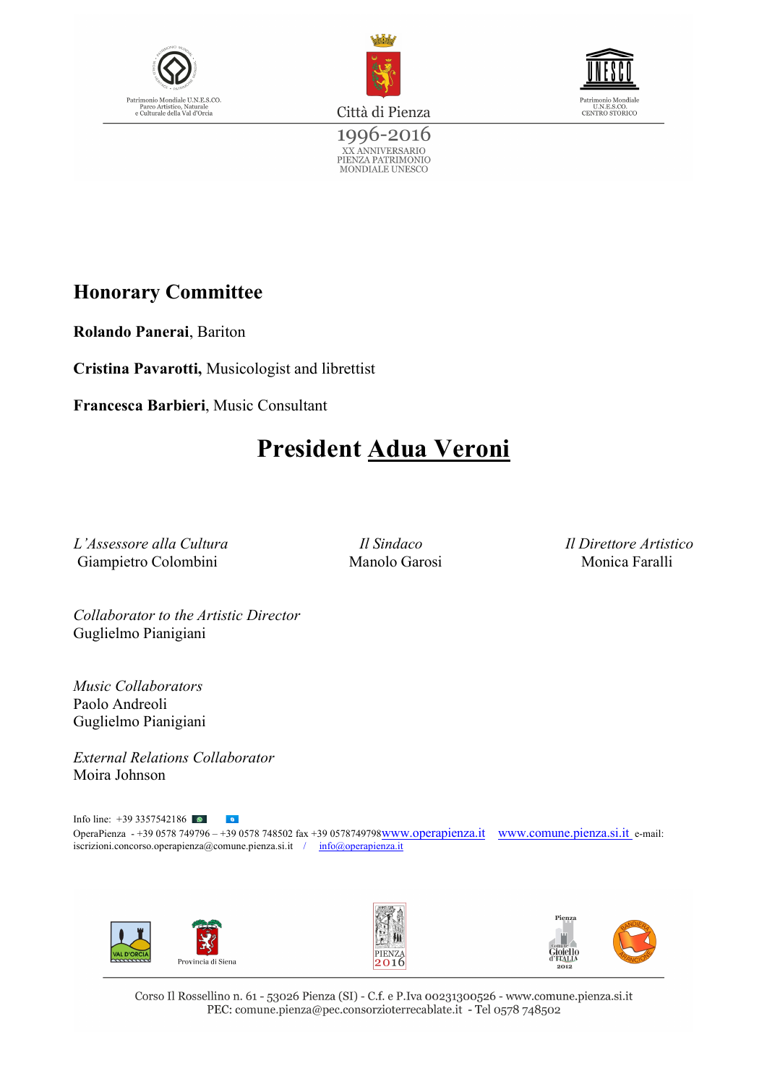





1996-2016 XX ANNIVERSARIO<br>PIENZA PATRIMONIO<br>MONDIALE UNESCO

### **Honorary Committee**

**Rolando Panerai**, Bariton

**Cristina Pavarotti,** Musicologist and librettist

**Francesca Barbieri**, Music Consultant

## **President Adua Veroni**

*L'Assessore alla Cultura Il Sindaco Il Direttore Artistico* Giampietro Colombini Manolo Garosi Monica Faralli

*Collaborator to the Artistic Director* Guglielmo Pianigiani

*Music Collaborators* Paolo Andreoli Guglielmo Pianigiani

*External Relations Collaborator* Moira Johnson

Info line: +39 3357542186  $\bullet$ OperaPienza - +39 0578 749796 – +39 0578 748502 fax +39 0578749798www.operapienza.it www.comune.pienza.si.it e-mail: iscrizioni.concorso.operapienza@comune.pienza.si.it / info@operapienza.it





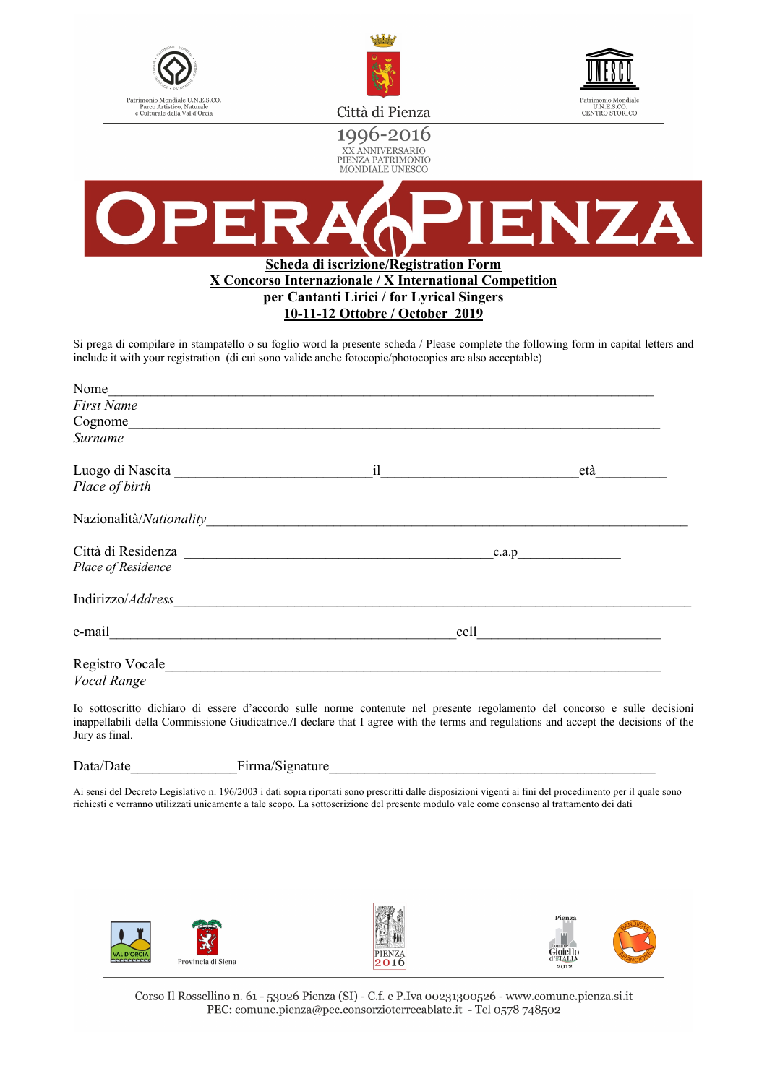



1996-2016





#### **Scheda di iscrizione/Registration Form X Concorso Internazionale / X International Competition per Cantanti Lirici / for Lyrical Singers 10-11-12 Ottobre / October 2019**

Si prega di compilare in stampatello o su foglio word la presente scheda / Please complete the following form in capital letters and include it with your registration (di cui sono valide anche fotocopie/photocopies are also acceptable)

| Nome                                                                                                                                                                                                                           |      |       |
|--------------------------------------------------------------------------------------------------------------------------------------------------------------------------------------------------------------------------------|------|-------|
| <b>First Name</b>                                                                                                                                                                                                              |      |       |
| Cognome                                                                                                                                                                                                                        |      |       |
| Surname                                                                                                                                                                                                                        |      |       |
|                                                                                                                                                                                                                                | il   | età   |
| Place of birth                                                                                                                                                                                                                 |      |       |
| Nazionalità/Nationality                                                                                                                                                                                                        |      |       |
| Città di Residenza                                                                                                                                                                                                             |      | c.a.p |
| Place of Residence                                                                                                                                                                                                             |      |       |
| Indirizzo/Address                                                                                                                                                                                                              |      |       |
| e-mail e-mail and the contract of the contract of the contract of the contract of the contract of the contract of the contract of the contract of the contract of the contract of the contract of the contract of the contract | cell |       |
| Registro Vocale                                                                                                                                                                                                                |      |       |
| <b>Vocal Range</b>                                                                                                                                                                                                             |      |       |

Io sottoscritto dichiaro di essere d'accordo sulle norme contenute nel presente regolamento del concorso e sulle decisioni inappellabili della Commissione Giudicatrice./I declare that I agree with the terms and regulations and accept the decisions of the Jury as final.

| $\sim$<br>Firma/Signature | Data/Date |
|---------------------------|-----------|
|                           |           |

Ai sensi del Decreto Legislativo n. 196/2003 i dati sopra riportati sono prescritti dalle disposizioni vigenti ai fini del procedimento per il quale sono richiesti e verranno utilizzati unicamente a tale scopo. La sottoscrizione del presente modulo vale come consenso al trattamento dei dati